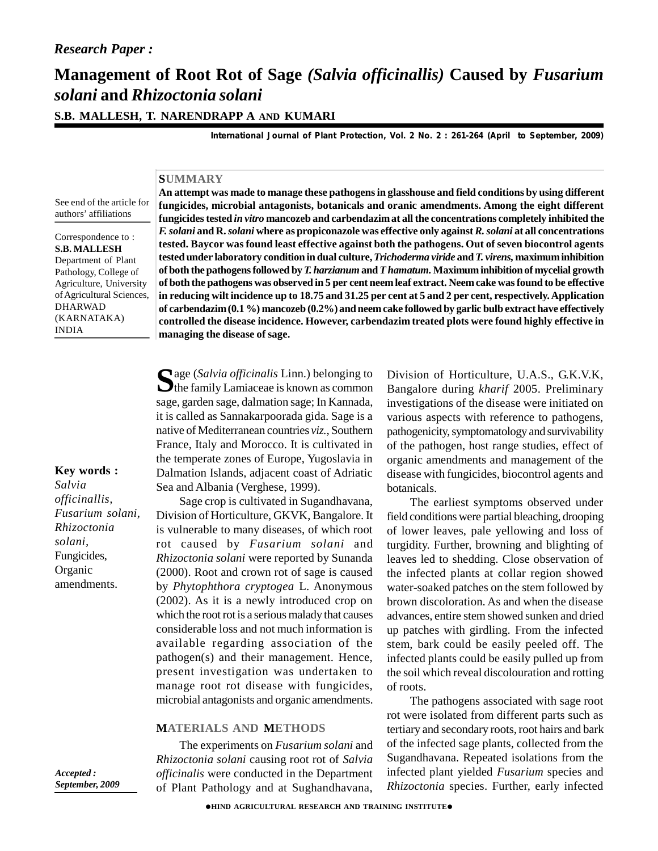# **Management of Root Rot of Sage** *(Salvia officinallis)* **Caused by** *Fusarium solani* **and** *Rhizoctonia solani*

**S.B. MALLESH, T. NARENDRAPP A AND KUMARI**

*International Journal of Plant Protection, Vol. 2 No. 2 : 261-264 (April to September, 2009)*

### **SUMMARY**

See end of the article for authors' affiliations

Correspondence to : **S.B. MALLESH** Department of Plant Pathology, College of Agriculture, University of Agricultural Sciences, DHARWAD (KARNATAKA) INDIA

**An attempt was made to manage these pathogens in glasshouse and field conditions by using different fungicides, microbial antagonists, botanicals and oranic amendments. Among the eight different fungicides tested** *in vitro* **mancozeb and carbendazim at all the concentrations completely inhibited the** *F. solani* **and R.***solani* **where as propiconazole was effective only against***R.solani* **at all concentrations tested. Baycor was found least effective against both the pathogens. Out of seven biocontrol agents tested under laboratory condition in dual culture,***Trichoderma viride* **and** *T. virens,* **maximum inhibition of both the pathogens followed by***T. harzianum* **and***T hamatum.***Maximum inhibition of mycelial growth of both the pathogens was observed in 5 per cent neem leaf extract. Neem cake was found to be effective in reducing wilt incidence up to 18.75 and 31.25 per cent at 5 and 2 per cent, respectively. Application of carbendazim (0.1 %) mancozeb (0.2%) and neem cake followed by garlic bulb extract have effectively controlled the disease incidence. However, carbendazim treated plots were found highly effective in managing the disease of sage.**

Sage (Salvia officinalis Linn.) belonging to<br>
the family Lamiaceae is known as common Banga age (*Salvia officinalis* Linn.) belonging to sage, garden sage, dalmation sage; In Kannada, it is called as Sannakarpoorada gida. Sage is a native of Mediterranean countries *viz.*, Southern France, Italy and Morocco. It is cultivated in the temperate zones of Europe, Yugoslavia in Dalmation Islands, adjacent coast of Adriatic Sea and Albania (Verghese, 1999).

Sage crop is cultivated in Sugandhavana, Division of Horticulture, GKVK, Bangalore. It is vulnerable to many diseases, of which root rot caused by *Fusarium solani* and *Rhizoctonia solani* were reported by Sunanda (2000). Root and crown rot of sage is caused by *Phytophthora cryptogea* L. Anonymous (2002). As it is a newly introduced crop on which the root rot is a serious malady that causes considerable loss and not much information is available regarding association of the pathogen(s) and their management. Hence, present investigation was undertaken to manage root rot disease with fungicides, microbial antagonists and organic amendments.

#### **MATERIALS AND METHODS**

The experiments on *Fusarium solani* and *Rhizoctonia solani* causing root rot of *Salvia officinalis* were conducted in the Department of Plant Pathology and at Sughandhavana,

Division of Horticulture, U.A.S., G.K.V.K, Bangalore during *kharif* 2005. Preliminary investigations of the disease were initiated on various aspects with reference to pathogens, pathogenicity, symptomatology and survivability of the pathogen, host range studies, effect of organic amendments and management of the disease with fungicides, biocontrol agents and botanicals.

The earliest symptoms observed under field conditions were partial bleaching, drooping of lower leaves, pale yellowing and loss of turgidity. Further, browning and blighting of leaves led to shedding. Close observation of the infected plants at collar region showed water-soaked patches on the stem followed by brown discoloration. As and when the disease advances, entire stem showed sunken and dried up patches with girdling. From the infected stem, bark could be easily peeled off. The infected plants could be easily pulled up from the soil which reveal discolouration and rotting of roots.

The pathogens associated with sage root rot were isolated from different parts such as tertiary and secondary roots, root hairs and bark of the infected sage plants, collected from the Sugandhavana. Repeated isolations from the infected plant yielded *Fusarium* species and *Rhizoctonia* species. Further, early infected

*Salvia officinallis, Fusarium solani, Rhizoctonia solani,*

**Key words :**

Fungicides, **Organic** amendments.

*Accepted : September, 2009*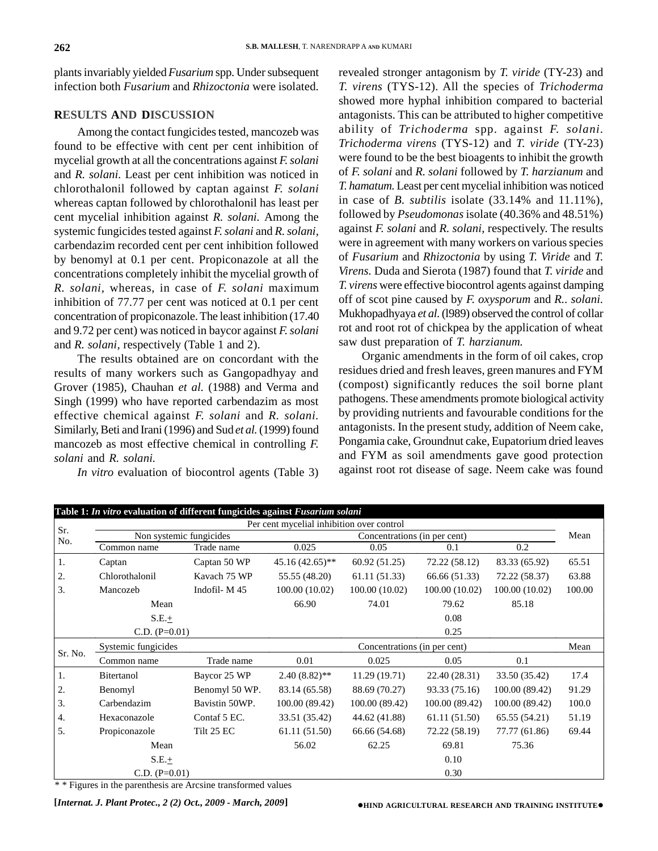plants invariably yielded*Fusarium* spp. Under subsequent infection both *Fusarium* and*Rhizoctonia* were isolated.

## **RESULTS AND DISCUSSION**

Among the contact fungicides tested, mancozeb was found to be effective with cent per cent inhibition of mycelial growth at all the concentrations against *F. solani* and *R. solani.* Least per cent inhibition was noticed in chlorothalonil followed by captan against *F. solani* whereas captan followed by chlorothalonil has least per cent mycelial inhibition against *R. solani.* Among the systemic fungicides tested against *F. solani* and *R. solani,* carbendazim recorded cent per cent inhibition followed by benomyl at 0.1 per cent. Propiconazole at all the concentrations completely inhibit the mycelial growth of *R. solani,* whereas, in case of *F. solani* maximum inhibition of 77.77 per cent was noticed at 0.1 per cent concentration of propiconazole. The least inhibition (17.40 and 9.72 per cent) was noticed in baycor against *F. solani* and *R. solani,* respectively (Table 1 and 2).

The results obtained are on concordant with the results of many workers such as Gangopadhyay and Grover (1985), Chauhan *et al.* (1988) and Verma and Singh (1999) who have reported carbendazim as most effective chemical against *F. solani* and *R. solani.* Similarly, Beti and Irani (1996) and Sud *et al.*(1999) found mancozeb as most effective chemical in controlling *F. solani* and *R. solani.*

*In vitro* evaluation of biocontrol agents (Table 3)

revealed stronger antagonism by *T. viride* (TY-23) and *T. virens* (TYS-12). All the species of *Trichoderma* showed more hyphal inhibition compared to bacterial antagonists. This can be attributed to higher competitive ability of *Trichoderma* spp. against *F. solani. Trichoderma virens* (TYS-12) and *T. viride* (TY-23) were found to be the best bioagents to inhibit the growth of *F. solani* and *R. solani* followed by *T. harzianum* and *T. hamatum.* Least per cent mycelial inhibition was noticed in case of *B. subtilis* isolate (33.14% and 11.11%), followed by *Pseudomonas* isolate (40.36% and 48.51%) against *F. solani* and *R. solani,* respectively. The results were in agreement with many workers on various species of *Fusarium* and *Rhizoctonia* by using *T. Viride* and *T. Virens.* Duda and Sierota (1987) found that *T. viride* and *T. virens* were effective biocontrol agents against damping off of scot pine caused by *F. oxysporum* and *R.. solani.* Mukhopadhyaya *et al.*(l989) observed the control of collar rot and root rot of chickpea by the application of wheat saw dust preparation of *T. harzianum.*

Organic amendments in the form of oil cakes, crop residues dried and fresh leaves, green manures and FYM (compost) significantly reduces the soil borne plant pathogens. These amendments promote biological activity by providing nutrients and favourable conditions for the antagonists. In the present study, addition of Neem cake, Pongamia cake, Groundnut cake, Eupatorium dried leaves and FYM as soil amendments gave good protection against root rot disease of sage. Neem cake was found

|         | Table 1: In vitro evaluation of different fungicides against Fusarium solani |                |                                           |                |                |                |        |
|---------|------------------------------------------------------------------------------|----------------|-------------------------------------------|----------------|----------------|----------------|--------|
| Sr.     |                                                                              |                | Per cent mycelial inhibition over control |                |                |                |        |
| No.     | Non systemic fungicides                                                      |                | Concentrations (in per cent)              |                |                |                | Mean   |
|         | Common name                                                                  | Trade name     | 0.025                                     | 0.05           | 0.1            | 0.2            |        |
| 1.      | Captan                                                                       | Captan 50 WP   | $45.16(42.65)$ **                         | 60.92 (51.25)  | 72.22 (58.12)  | 83.33 (65.92)  | 65.51  |
| 2.      | Chlorothalonil                                                               | Kavach 75 WP   | 55.55 (48.20)                             | 61.11 (51.33)  | 66.66 (51.33)  | 72.22 (58.37)  | 63.88  |
| 3.      | Mancozeb                                                                     | Indofil-M45    | 100.00 (10.02)                            | 100.00(10.02)  | 100.00 (10.02) | 100.00 (10.02) | 100.00 |
|         | Mean                                                                         |                | 66.90                                     | 74.01          | 79.62          | 85.18          |        |
|         | $S.E.+$                                                                      |                |                                           |                | 0.08           |                |        |
|         | C.D. $(P=0.01)$                                                              |                |                                           |                | 0.25           |                |        |
|         | Systemic fungicides                                                          |                | Concentrations (in per cent)              |                |                | Mean           |        |
| Sr. No. | Common name                                                                  | Trade name     | 0.01                                      | 0.025          | 0.05           | 0.1            |        |
| 1.      | Bitertanol                                                                   | Baycor 25 WP   | $2.40(8.82)$ **                           | 11.29(19.71)   | 22.40 (28.31)  | 33.50 (35.42)  | 17.4   |
| 2.      | Benomyl                                                                      | Benomyl 50 WP. | 83.14 (65.58)                             | 88.69 (70.27)  | 93.33 (75.16)  | 100.00 (89.42) | 91.29  |
| 3.      | Carbendazim                                                                  | Bavistin 50WP. | 100.00 (89.42)                            | 100.00 (89.42) | 100.00 (89.42) | 100.00 (89.42) | 100.0  |
| 4.      | Hexaconazole                                                                 | Contaf 5 EC.   | 33.51 (35.42)                             | 44.62 (41.88)  | 61.11 (51.50)  | 65.55 (54.21)  | 51.19  |
| 5.      | Propiconazole                                                                | Tilt 25 EC     | 61.11 (51.50)                             | 66.66 (54.68)  | 72.22 (58.19)  | 77.77 (61.86)  | 69.44  |
|         | Mean                                                                         |                | 56.02                                     | 62.25          | 69.81          | 75.36          |        |
|         | $S.E. \pm$                                                                   |                |                                           |                | 0.10           |                |        |
|         | $C.D. (P=0.01)$                                                              |                |                                           |                | 0.30           |                |        |

\* \* Figures in the parenthesis are Arcsine transformed values

**[***Internat. J. Plant Protec., 2 (2) Oct., 2009 - March, 2009***]**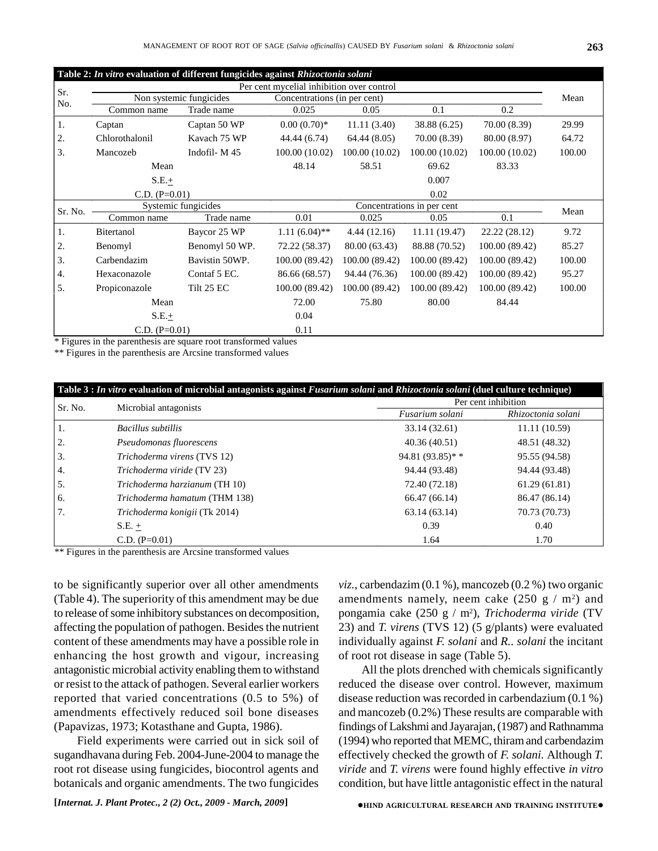|         | Table 2: In vitro evaluation of different fungicides against Rhizoctonia solani |                              |                                           |                |                |                |        |
|---------|---------------------------------------------------------------------------------|------------------------------|-------------------------------------------|----------------|----------------|----------------|--------|
| Sr.     |                                                                                 |                              | Per cent mycelial inhibition over control |                |                |                |        |
| No.     | Non systemic fungicides                                                         | Concentrations (in per cent) |                                           |                |                | Mean           |        |
|         | Common name                                                                     | Trade name                   | 0.025                                     | 0.05           | 0.1            | 0.2            |        |
| 1.      | Captan                                                                          | Captan 50 WP                 | $0.00(0.70)*$                             | 11.11(3.40)    | 38.88 (6.25)   | 70.00 (8.39)   | 29.99  |
| 2.      | Chlorothalonil                                                                  | Kavach 75 WP                 | 44.44 (6.74)                              | 64.44(8.05)    | 70.00 (8.39)   | 80.00 (8.97)   | 64.72  |
| 3.      | Mancozeb                                                                        | Indofil - $M$ 45             | 100.00 (10.02)                            | 100.00(10.02)  | 100.00(10.02)  | 100.00(10.02)  | 100.00 |
|         | Mean                                                                            |                              | 48.14                                     | 58.51          | 69.62          | 83.33          |        |
|         | $S.E. \pm$                                                                      |                              |                                           |                | 0.007          |                |        |
|         | $C.D. (P=0.01)$                                                                 |                              |                                           |                | 0.02           |                |        |
| Sr. No. | Systemic fungicides                                                             |                              | Concentrations in per cent                |                |                |                | Mean   |
|         | Common name                                                                     | Trade name                   | 0.01                                      | 0.025          | 0.05           | 0.1            |        |
| 1.      | Bitertanol                                                                      | Baycor 25 WP                 | $1.11(6.04)$ **                           | 4.44(12.16)    | 11.11 (19.47)  | 22.22 (28.12)  | 9.72   |
| 2.      | Benomyl                                                                         | Benomyl 50 WP.               | 72.22 (58.37)                             | 80.00 (63.43)  | 88.88 (70.52)  | 100.00 (89.42) | 85.27  |
| 3.      | Carbendazim                                                                     | Bavistin 50WP.               | 100.00 (89.42)                            | 100.00 (89.42) | 100.00 (89.42) | 100.00 (89.42) | 100.00 |
| 4.      | Hexaconazole                                                                    | Contaf 5 EC.                 | 86.66 (68.57)                             | 94.44 (76.36)  | 100.00 (89.42) | 100.00 (89.42) | 95.27  |
| 5.      | Propiconazole                                                                   | Tilt 25 EC                   | 100.00 (89.42)                            | 100.00 (89.42) | 100.00 (89.42) | 100.00 (89.42) | 100.00 |
|         | Mean                                                                            |                              | 72.00                                     | 75.80          | 80.00          | 84.44          |        |
|         | $S.E.+$                                                                         |                              | 0.04                                      |                |                |                |        |
|         | $C.D. (P=0.01)$                                                                 |                              | 0.11                                      |                |                |                |        |

\* Figures in the parenthesis are square root transformed values

\*\* Figures in the parenthesis are Arcsine transformed values

|         |                               | Table 3 : In vitro evaluation of microbial antagonists against Fusarium solani and Rhizoctonia solani (duel culture technique) |                     |  |  |
|---------|-------------------------------|--------------------------------------------------------------------------------------------------------------------------------|---------------------|--|--|
| Sr. No. | Microbial antagonists         |                                                                                                                                | Per cent inhibition |  |  |
|         |                               | Fusarium solani                                                                                                                | Rhizoctonia solani  |  |  |
| 1.      | Bacillus subtillis            | 33.14 (32.61)                                                                                                                  | 11.11(10.59)        |  |  |
| 2.      | Pseudomonas fluorescens       | 40.36 (40.51)                                                                                                                  | 48.51 (48.32)       |  |  |
| 3.      | Trichoderma virens (TVS 12)   | 94.81 $(93.85)**$                                                                                                              | 95.55 (94.58)       |  |  |
| 4.      | Trichoderma viride (TV 23)    | 94.44 (93.48)                                                                                                                  | 94.44 (93.48)       |  |  |
| 5.      | Trichoderma harzianum (TH 10) | 72.40 (72.18)                                                                                                                  | 61.29(61.81)        |  |  |
| 6.      | Trichoderma hamatum (THM 138) | 66.47 (66.14)                                                                                                                  | 86.47 (86.14)       |  |  |
| 7.      | Trichoderma konigii (Tk 2014) | 63.14(63.14)                                                                                                                   | 70.73 (70.73)       |  |  |
|         | $S.E. +$                      | 0.39                                                                                                                           | 0.40                |  |  |
|         | $C.D. (P=0.01)$               | 1.64                                                                                                                           | 1.70                |  |  |

\*\* Figures in the parenthesis are Arcsine transformed values

to be significantly superior over all other amendments (Table 4). The superiority of this amendment may be due to release of some inhibitory substances on decomposition, affecting the population of pathogen. Besides the nutrient content of these amendments may have a possible role in enhancing the host growth and vigour, increasing antagonistic microbial activity enabling them to withstand or resist to the attack of pathogen. Several earlier workers reported that varied concentrations (0.5 to 5%) of amendments effectively reduced soil bone diseases (Papavizas, 1973; Kotasthane and Gupta, 1986).

Field experiments were carried out in sick soil of sugandhavana during Feb. 2004-June-2004 to manage the root rot disease using fungicides, biocontrol agents and botanicals and organic amendments. The two fungicides *viz.*, carbendazim (0.1 %), mancozeb (0.2 %) two organic amendments namely, neem cake  $(250 \text{ g} / \text{m}^2)$  and pongamia cake (250 g / m2), *Trichoderma viride* (TV 23) and *T. virens* (TVS 12) (5 g/plants) were evaluated individually against *F. solani* and *R.. solani* the incitant of root rot disease in sage (Table 5).

All the plots drenched with chemicals significantly reduced the disease over control. However, maximum disease reduction was recorded in carbendazium (0.1 %) and mancozeb (0.2%) These results are comparable with findings of Lakshmi and Jayarajan, (1987) and Rathnamma (1994) who reported that MEMC, thiram and carbendazim effectively checked the growth of *F. solani.* Although *T. viride* and *T. virens* were found highly effective *in vitro* condition, but have little antagonistic effect in the natural

**[***Internat. J. Plant Protec., 2 (2) Oct., 2009 - March, 2009***]**